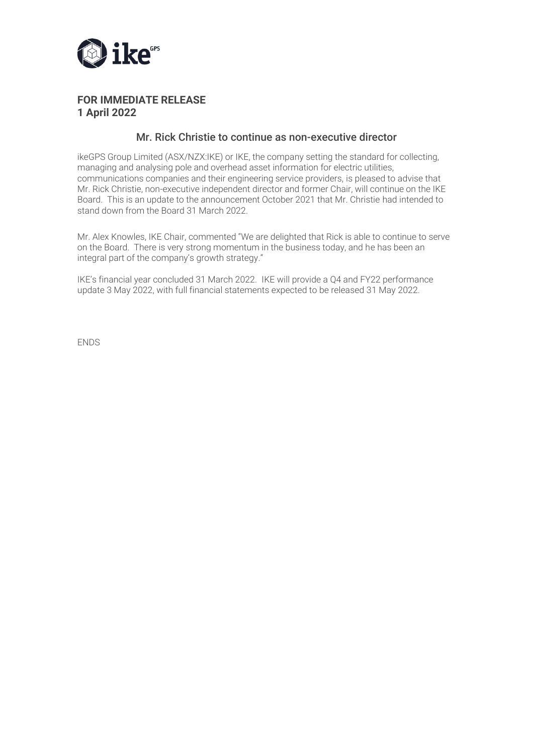

## **FOR IMMEDIATE RELEASE 1 April 2022**

### Mr. Rick Christie to continue as non-executive director

ikeGPS Group Limited (ASX/NZX:IKE) or IKE, the company setting the standard for collecting, managing and analysing pole and overhead asset information for electric utilities, communications companies and their engineering service providers, is pleased to advise that Mr. Rick Christie, non-executive independent director and former Chair, will continue on the IKE Board. This is an update to the announcement October 2021 that Mr. Christie had intended to stand down from the Board 31 March 2022.

Mr. Alex Knowles, IKE Chair, commented "We are delighted that Rick is able to continue to serve on the Board. There is very strong momentum in the business today, and he has been an integral part of the company's growth strategy."

IKE's financial year concluded 31 March 2022. IKE will provide a Q4 and FY22 performance update 3 May 2022, with full financial statements expected to be released 31 May 2022.

ENDS